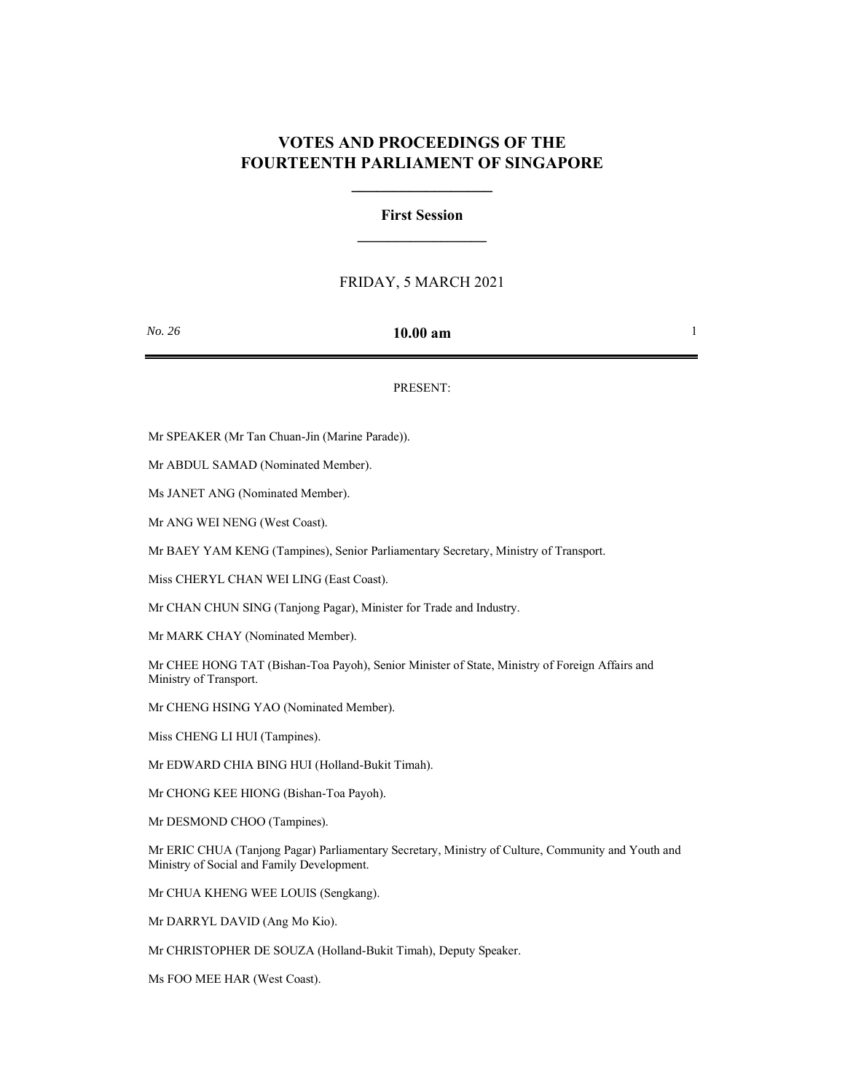# **VOTES AND PROCEEDINGS OF THE FOURTEENTH PARLIAMENT OF SINGAPORE**

**\_\_\_\_\_\_\_\_\_\_\_\_\_\_\_\_\_**

## **First Session \_\_\_\_\_\_\_\_\_\_\_\_\_\_\_\_\_**

### FRIDAY, 5 MARCH 2021

### *No. 26* **10.00 am** 1

#### PRESENT:

Mr SPEAKER (Mr Tan Chuan-Jin (Marine Parade)).

Mr ABDUL SAMAD (Nominated Member).

Ms JANET ANG (Nominated Member).

Mr ANG WEI NENG (West Coast).

Mr BAEY YAM KENG (Tampines), Senior Parliamentary Secretary, Ministry of Transport.

Miss CHERYL CHAN WEI LING (East Coast).

Mr CHAN CHUN SING (Tanjong Pagar), Minister for Trade and Industry.

Mr MARK CHAY (Nominated Member).

Mr CHEE HONG TAT (Bishan-Toa Payoh), Senior Minister of State, Ministry of Foreign Affairs and Ministry of Transport.

Mr CHENG HSING YAO (Nominated Member).

Miss CHENG LI HUI (Tampines).

Mr EDWARD CHIA BING HUI (Holland-Bukit Timah).

Mr CHONG KEE HIONG (Bishan-Toa Payoh).

Mr DESMOND CHOO (Tampines).

Mr ERIC CHUA (Tanjong Pagar) Parliamentary Secretary, Ministry of Culture, Community and Youth and Ministry of Social and Family Development.

Mr CHUA KHENG WEE LOUIS (Sengkang).

Mr DARRYL DAVID (Ang Mo Kio).

Mr CHRISTOPHER DE SOUZA (Holland-Bukit Timah), Deputy Speaker.

Ms FOO MEE HAR (West Coast).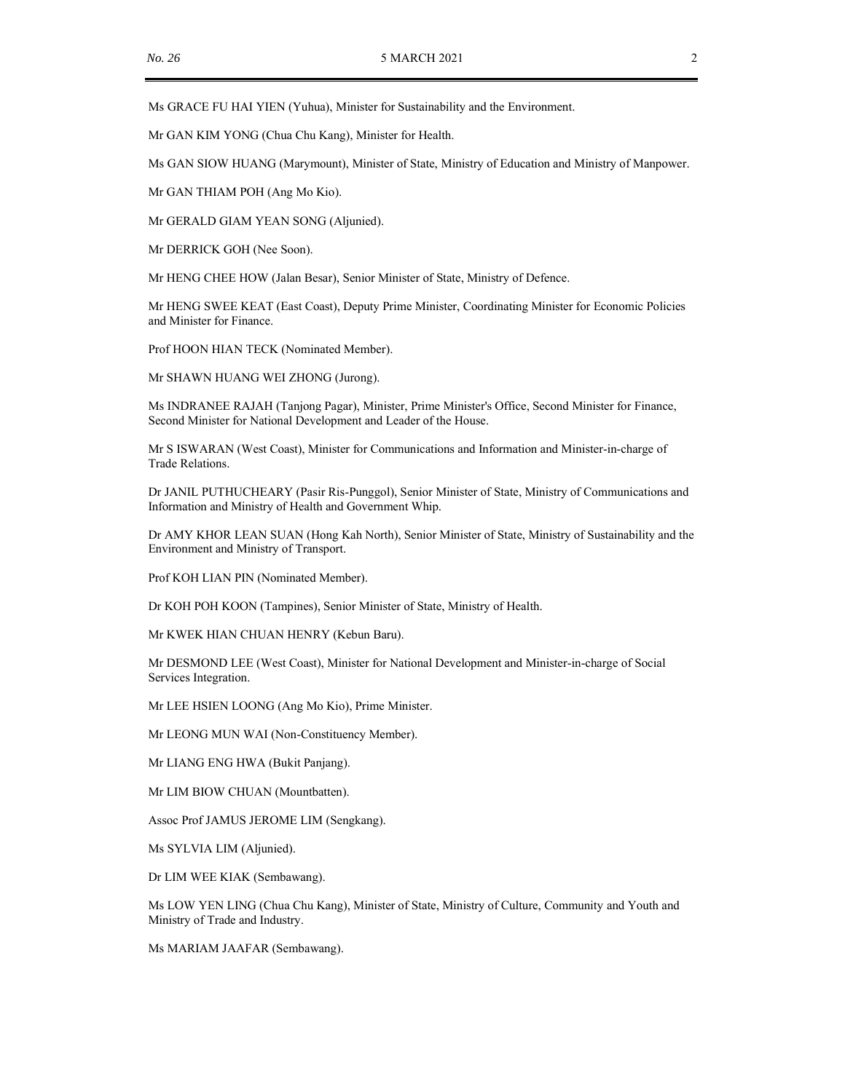Ms GRACE FU HAI YIEN (Yuhua), Minister for Sustainability and the Environment.

Mr GAN KIM YONG (Chua Chu Kang), Minister for Health.

Ms GAN SIOW HUANG (Marymount), Minister of State, Ministry of Education and Ministry of Manpower.

Mr GAN THIAM POH (Ang Mo Kio).

Mr GERALD GIAM YEAN SONG (Aljunied).

Mr DERRICK GOH (Nee Soon).

Mr HENG CHEE HOW (Jalan Besar), Senior Minister of State, Ministry of Defence.

Mr HENG SWEE KEAT (East Coast), Deputy Prime Minister, Coordinating Minister for Economic Policies and Minister for Finance.

Prof HOON HIAN TECK (Nominated Member).

Mr SHAWN HUANG WEI ZHONG (Jurong).

Ms INDRANEE RAJAH (Tanjong Pagar), Minister, Prime Minister's Office, Second Minister for Finance, Second Minister for National Development and Leader of the House.

Mr S ISWARAN (West Coast), Minister for Communications and Information and Minister-in-charge of Trade Relations.

Dr JANIL PUTHUCHEARY (Pasir Ris-Punggol), Senior Minister of State, Ministry of Communications and Information and Ministry of Health and Government Whip.

Dr AMY KHOR LEAN SUAN (Hong Kah North), Senior Minister of State, Ministry of Sustainability and the Environment and Ministry of Transport.

Prof KOH LIAN PIN (Nominated Member).

Dr KOH POH KOON (Tampines), Senior Minister of State, Ministry of Health.

Mr KWEK HIAN CHUAN HENRY (Kebun Baru).

Mr DESMOND LEE (West Coast), Minister for National Development and Minister-in-charge of Social Services Integration.

Mr LEE HSIEN LOONG (Ang Mo Kio), Prime Minister.

Mr LEONG MUN WAI (Non-Constituency Member).

Mr LIANG ENG HWA (Bukit Panjang).

Mr LIM BIOW CHUAN (Mountbatten).

Assoc Prof JAMUS JEROME LIM (Sengkang).

Ms SYLVIA LIM (Aljunied).

Dr LIM WEE KIAK (Sembawang).

Ms LOW YEN LING (Chua Chu Kang), Minister of State, Ministry of Culture, Community and Youth and Ministry of Trade and Industry.

Ms MARIAM JAAFAR (Sembawang).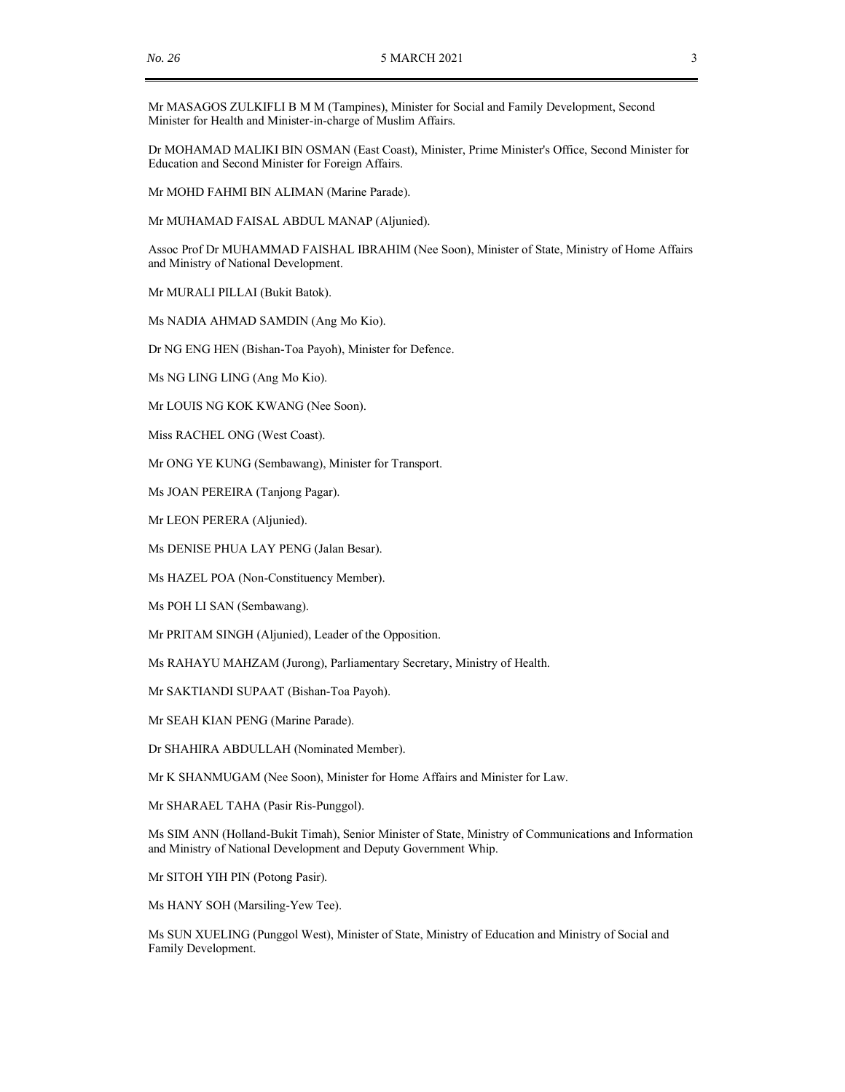Mr MASAGOS ZULKIFLI B M M (Tampines), Minister for Social and Family Development, Second Minister for Health and Minister-in-charge of Muslim Affairs.

Dr MOHAMAD MALIKI BIN OSMAN (East Coast), Minister, Prime Minister's Office, Second Minister for Education and Second Minister for Foreign Affairs.

Mr MOHD FAHMI BIN ALIMAN (Marine Parade).

Mr MUHAMAD FAISAL ABDUL MANAP (Aljunied).

Assoc Prof Dr MUHAMMAD FAISHAL IBRAHIM (Nee Soon), Minister of State, Ministry of Home Affairs and Ministry of National Development.

Mr MURALI PILLAI (Bukit Batok).

Ms NADIA AHMAD SAMDIN (Ang Mo Kio).

Dr NG ENG HEN (Bishan-Toa Payoh), Minister for Defence.

Ms NG LING LING (Ang Mo Kio).

Mr LOUIS NG KOK KWANG (Nee Soon).

Miss RACHEL ONG (West Coast).

Mr ONG YE KUNG (Sembawang), Minister for Transport.

Ms JOAN PEREIRA (Tanjong Pagar).

Mr LEON PERERA (Aljunied).

Ms DENISE PHUA LAY PENG (Jalan Besar).

Ms HAZEL POA (Non-Constituency Member).

Ms POH LI SAN (Sembawang).

Mr PRITAM SINGH (Aljunied), Leader of the Opposition.

Ms RAHAYU MAHZAM (Jurong), Parliamentary Secretary, Ministry of Health.

Mr SAKTIANDI SUPAAT (Bishan-Toa Payoh).

Mr SEAH KIAN PENG (Marine Parade).

Dr SHAHIRA ABDULLAH (Nominated Member).

Mr K SHANMUGAM (Nee Soon), Minister for Home Affairs and Minister for Law.

Mr SHARAEL TAHA (Pasir Ris-Punggol).

Ms SIM ANN (Holland-Bukit Timah), Senior Minister of State, Ministry of Communications and Information and Ministry of National Development and Deputy Government Whip.

Mr SITOH YIH PIN (Potong Pasir).

Ms HANY SOH (Marsiling-Yew Tee).

Ms SUN XUELING (Punggol West), Minister of State, Ministry of Education and Ministry of Social and Family Development.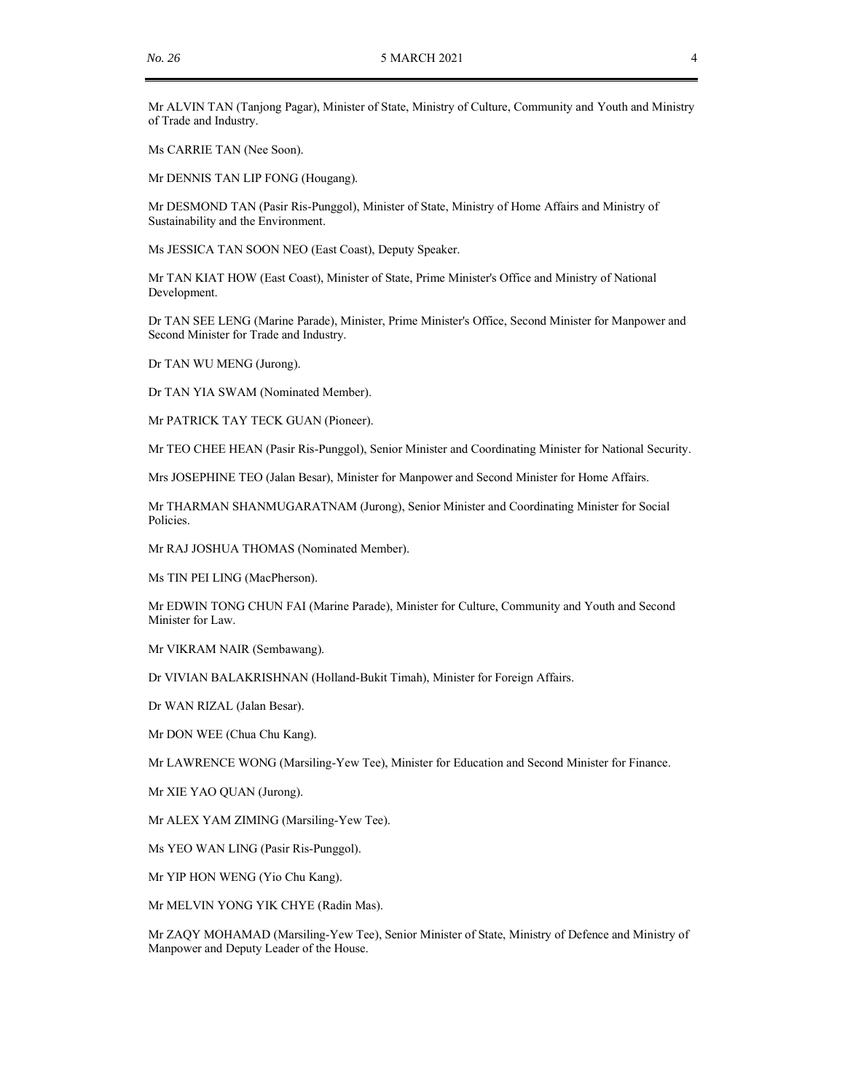Mr ALVIN TAN (Tanjong Pagar), Minister of State, Ministry of Culture, Community and Youth and Ministry of Trade and Industry.

Ms CARRIE TAN (Nee Soon).

Mr DENNIS TAN LIP FONG (Hougang).

Mr DESMOND TAN (Pasir Ris-Punggol), Minister of State, Ministry of Home Affairs and Ministry of Sustainability and the Environment.

Ms JESSICA TAN SOON NEO (East Coast), Deputy Speaker.

Mr TAN KIAT HOW (East Coast), Minister of State, Prime Minister's Office and Ministry of National Development.

Dr TAN SEE LENG (Marine Parade), Minister, Prime Minister's Office, Second Minister for Manpower and Second Minister for Trade and Industry.

Dr TAN WU MENG (Jurong).

Dr TAN YIA SWAM (Nominated Member).

Mr PATRICK TAY TECK GUAN (Pioneer).

Mr TEO CHEE HEAN (Pasir Ris-Punggol), Senior Minister and Coordinating Minister for National Security.

Mrs JOSEPHINE TEO (Jalan Besar), Minister for Manpower and Second Minister for Home Affairs.

Mr THARMAN SHANMUGARATNAM (Jurong), Senior Minister and Coordinating Minister for Social Policies.

Mr RAJ JOSHUA THOMAS (Nominated Member).

Ms TIN PEI LING (MacPherson).

Mr EDWIN TONG CHUN FAI (Marine Parade), Minister for Culture, Community and Youth and Second Minister for Law.

Mr VIKRAM NAIR (Sembawang).

Dr VIVIAN BALAKRISHNAN (Holland-Bukit Timah), Minister for Foreign Affairs.

Dr WAN RIZAL (Jalan Besar).

Mr DON WEE (Chua Chu Kang).

Mr LAWRENCE WONG (Marsiling-Yew Tee), Minister for Education and Second Minister for Finance.

Mr XIE YAO QUAN (Jurong).

Mr ALEX YAM ZIMING (Marsiling-Yew Tee).

Ms YEO WAN LING (Pasir Ris-Punggol).

Mr YIP HON WENG (Yio Chu Kang).

Mr MELVIN YONG YIK CHYE (Radin Mas).

Mr ZAQY MOHAMAD (Marsiling-Yew Tee), Senior Minister of State, Ministry of Defence and Ministry of Manpower and Deputy Leader of the House.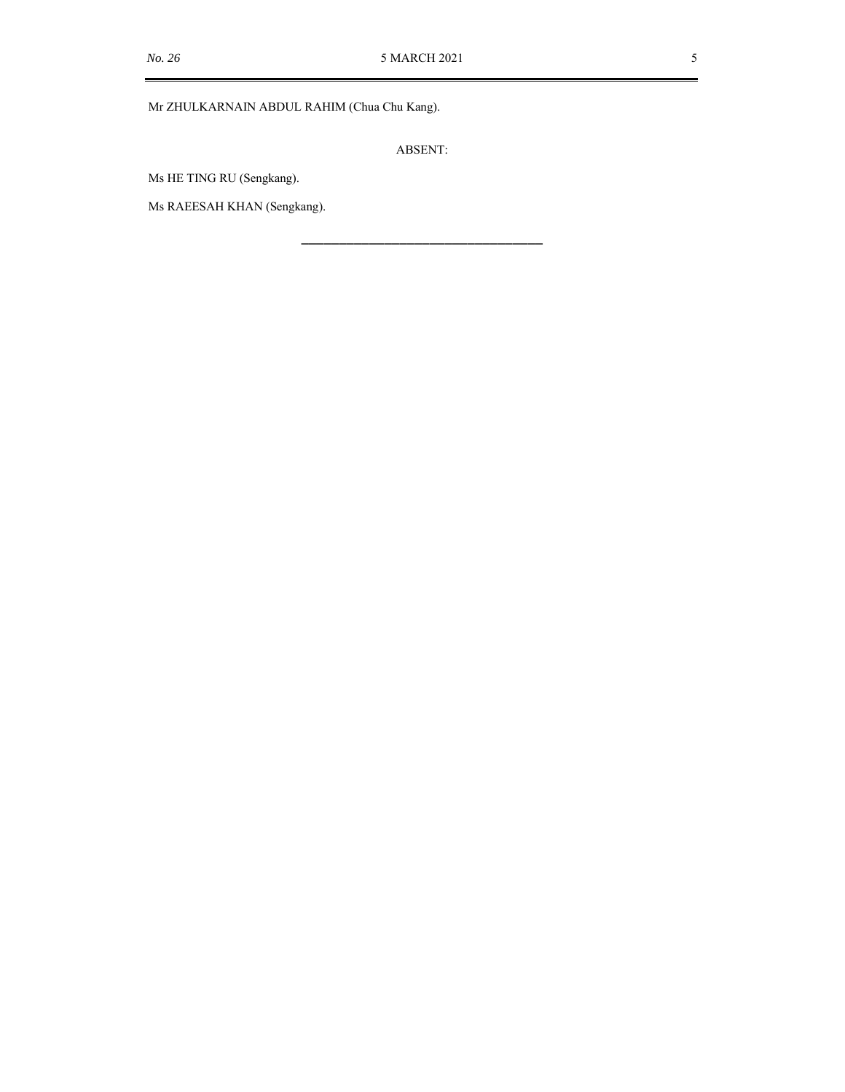### Mr ZHULKARNAIN ABDUL RAHIM (Chua Chu Kang).

ABSENT:

\_\_\_\_\_\_\_\_\_\_\_\_\_\_\_\_\_\_\_\_\_\_\_\_\_\_\_\_\_\_\_\_

Ms HE TING RU (Sengkang).

Ms RAEESAH KHAN (Sengkang).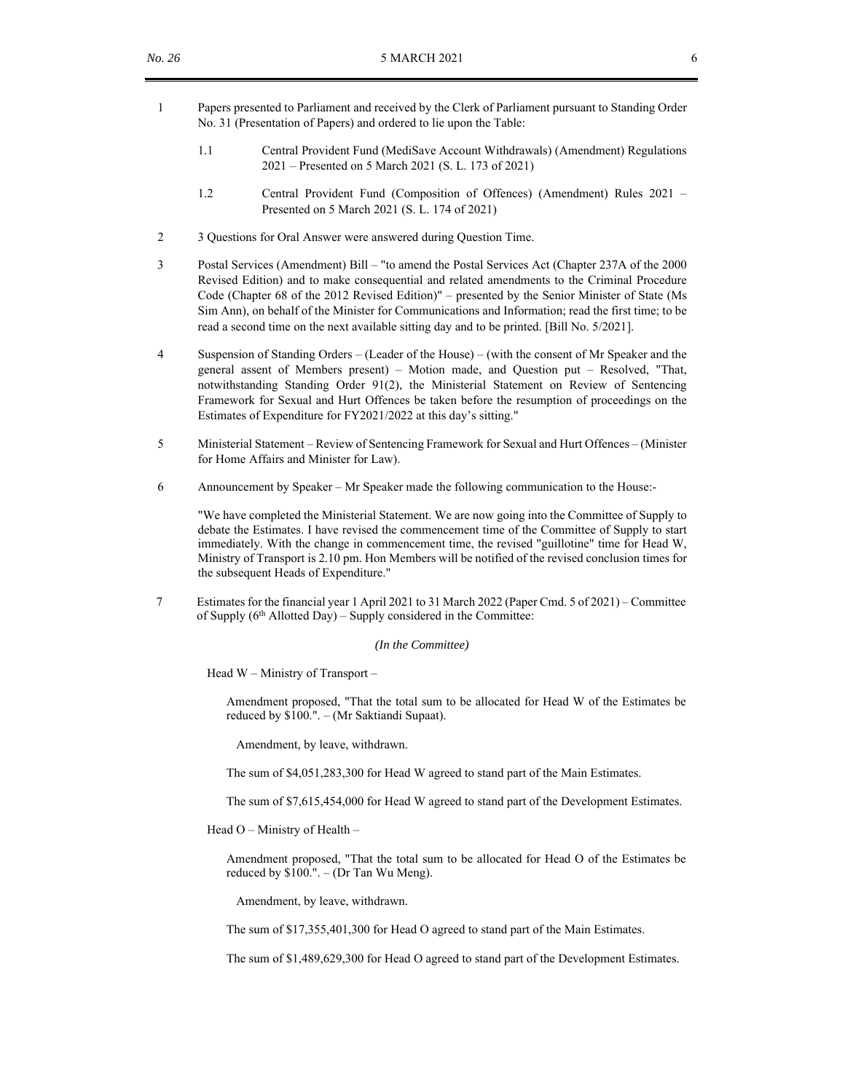- 1 Papers presented to Parliament and received by the Clerk of Parliament pursuant to Standing Order No. 31 (Presentation of Papers) and ordered to lie upon the Table:
	- 1.1 Central Provident Fund (MediSave Account Withdrawals) (Amendment) Regulations 2021 – Presented on 5 March 2021 (S. L. 173 of 2021)
	- 1.2 Central Provident Fund (Composition of Offences) (Amendment) Rules 2021 Presented on 5 March 2021 (S. L. 174 of 2021)
- 2 3 Questions for Oral Answer were answered during Question Time.
- 3 Postal Services (Amendment) Bill "to amend the Postal Services Act (Chapter 237A of the 2000 Revised Edition) and to make consequential and related amendments to the Criminal Procedure Code (Chapter 68 of the 2012 Revised Edition)" – presented by the Senior Minister of State (Ms Sim Ann), on behalf of the Minister for Communications and Information; read the first time; to be read a second time on the next available sitting day and to be printed. [Bill No. 5/2021].
- 4 Suspension of Standing Orders (Leader of the House) (with the consent of Mr Speaker and the general assent of Members present) – Motion made, and Question put – Resolved, "That, notwithstanding Standing Order 91(2), the Ministerial Statement on Review of Sentencing Framework for Sexual and Hurt Offences be taken before the resumption of proceedings on the Estimates of Expenditure for FY2021/2022 at this day's sitting."
- 5 Ministerial Statement Review of Sentencing Framework for Sexual and Hurt Offences (Minister for Home Affairs and Minister for Law).
- 6 Announcement by Speaker Mr Speaker made the following communication to the House:-

"We have completed the Ministerial Statement. We are now going into the Committee of Supply to debate the Estimates. I have revised the commencement time of the Committee of Supply to start immediately. With the change in commencement time, the revised "guillotine" time for Head W, Ministry of Transport is 2.10 pm. Hon Members will be notified of the revised conclusion times for the subsequent Heads of Expenditure."

7 Estimates for the financial year 1 April 2021 to 31 March 2022 (Paper Cmd. 5 of 2021) – Committee of Supply (6<sup>th</sup> Allotted Day) – Supply considered in the Committee:

#### *(In the Committee)*

Head W – Ministry of Transport –

Amendment proposed, "That the total sum to be allocated for Head W of the Estimates be reduced by \$100.". – (Mr Saktiandi Supaat).

Amendment, by leave, withdrawn.

The sum of \$4,051,283,300 for Head W agreed to stand part of the Main Estimates.

The sum of \$7,615,454,000 for Head W agreed to stand part of the Development Estimates.

Head O – Ministry of Health –

Amendment proposed, "That the total sum to be allocated for Head O of the Estimates be reduced by \$100.". – (Dr Tan Wu Meng).

Amendment, by leave, withdrawn.

The sum of \$17,355,401,300 for Head O agreed to stand part of the Main Estimates.

The sum of \$1,489,629,300 for Head O agreed to stand part of the Development Estimates.